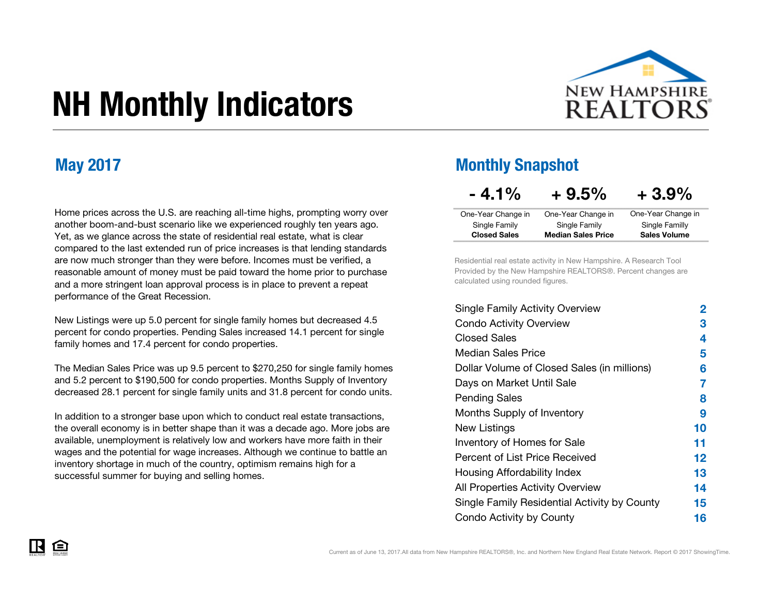

# NH Monthly Indicators

Home prices across the U.S. are reaching all-time highs, prompting worry over another boom-and-bust scenario like we experienced roughly ten years ago. Yet, as we glance across the state of residential real estate, what is clear compared to the last extended run of price increases is that lending standards are now much stronger than they were before. Incomes must be verified, a reasonable amount of money must be paid toward the home prior to purchase and a more stringent loan approval process is in place to prevent a repeat performance of the Great Recession.

New Listings were up 5.0 percent for single family homes but decreased 4.5 percent for condo properties. Pending Sales increased 14.1 percent for single family homes and 17.4 percent for condo properties.

The Median Sales Price was up 9.5 percent to \$270,250 for single family homes and 5.2 percent to \$190,500 for condo properties. Months Supply of Inventory decreased 28.1 percent for single family units and 31.8 percent for condo units.

In addition to a stronger base upon which to conduct real estate transactions, the overall economy is in better shape than it was a decade ago. More jobs are available, unemployment is relatively low and workers have more faith in their wages and the potential for wage increases. Although we continue to battle an inventory shortage in much of the country, optimism remains high for a successful summer for buying and selling homes.

#### May 2017 Monthly Snapshot

### $-4.1\% + 9.5\% + 3.9\%$

| One-Year Change in  | One-Year Change in        | One-Year Change in  |
|---------------------|---------------------------|---------------------|
| Single Family       | Single Family             | Single Familly      |
| <b>Closed Sales</b> | <b>Median Sales Price</b> | <b>Sales Volume</b> |
|                     |                           |                     |

Residential real estate activity in New Hampshire. A Research Tool Provided by the New Hampshire REALTORS®. Percent changes are calculated using rounded figures.

| <b>Single Family Activity Overview</b>       | 2  |
|----------------------------------------------|----|
| <b>Condo Activity Overview</b>               | 3  |
| <b>Closed Sales</b>                          | 4  |
| Median Sales Price                           | 5  |
| Dollar Volume of Closed Sales (in millions)  | 6  |
| Days on Market Until Sale                    | 7  |
| <b>Pending Sales</b>                         | 8  |
| Months Supply of Inventory                   | 9  |
| New Listings                                 | 10 |
| Inventory of Homes for Sale                  | 11 |
| Percent of List Price Received               | 12 |
| Housing Affordability Index                  | 13 |
| All Properties Activity Overview             | 14 |
| Single Family Residential Activity by County | 15 |
| Condo Activity by County                     | 16 |

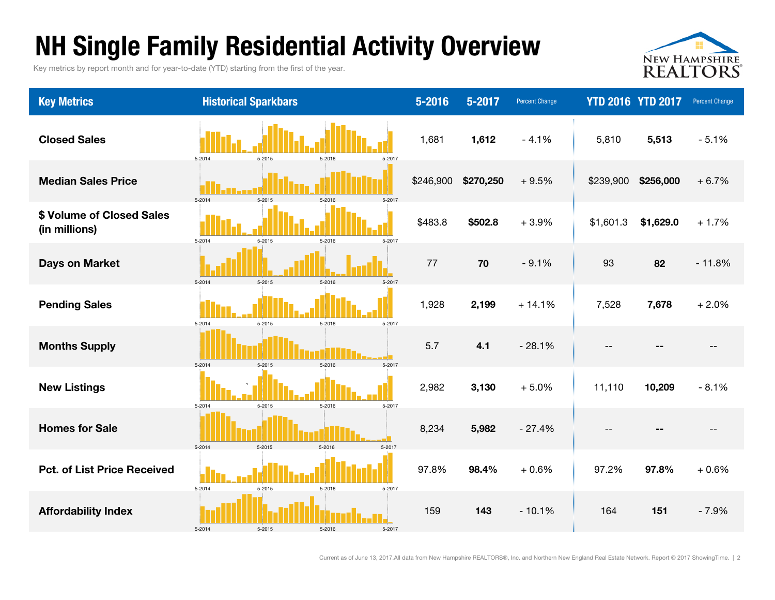### NH Single Family Residential Activity Overview

Key metrics by report month and for year-to-date (YTD) starting from the first of the year.



| <b>Key Metrics</b>                         | <b>Historical Sparkbars</b>                  | 5-2016    | 5-2017    | <b>Percent Change</b> | <b>YTD 2016 YTD 2017</b> |           | <b>Percent Change</b> |
|--------------------------------------------|----------------------------------------------|-----------|-----------|-----------------------|--------------------------|-----------|-----------------------|
| <b>Closed Sales</b>                        | 5-2015<br>5-2014<br>5-2016<br>5-2017         | 1,681     | 1,612     | $-4.1%$               | 5,810                    | 5,513     | $-5.1%$               |
| <b>Median Sales Price</b>                  | 5-2014<br>5-2015<br>5-2016<br>5-2017         | \$246,900 | \$270,250 | $+9.5%$               | \$239,900                | \$256,000 | $+6.7%$               |
| \$ Volume of Closed Sales<br>(in millions) | 5-2014<br>5-2015<br>5-2016<br>5-2017         | \$483.8   | \$502.8   | $+3.9%$               | \$1,601.3                | \$1,629.0 | $+1.7%$               |
| <b>Days on Market</b>                      | 5-2014<br>5-2015<br>5-2016<br>$5 - 2017$     | 77        | 70        | $-9.1%$               | 93                       | 82        | $-11.8%$              |
| <b>Pending Sales</b>                       | 5-2015<br>5-2014<br>5-2016<br>5-2017         | 1,928     | 2,199     | $+14.1%$              | 7,528                    | 7,678     | $+2.0%$               |
| <b>Months Supply</b>                       | $5 - 2014$<br>5-2015<br>$5 - 2016$<br>5-2017 | 5.7       | 4.1       | $-28.1%$              |                          |           |                       |
| <b>New Listings</b>                        | 5-2014<br>5-2015<br>5-2016<br>5-2017         | 2,982     | 3,130     | $+5.0%$               | 11,110                   | 10,209    | $-8.1%$               |
| <b>Homes for Sale</b>                      | 5-2014<br>5-2015<br>$5 - 2016$<br>5-2017     | 8,234     | 5,982     | $-27.4%$              |                          |           |                       |
| <b>Pct. of List Price Received</b>         | 5-2014<br>5-2015<br>5-2016<br>5-2017         | 97.8%     | 98.4%     | $+0.6%$               | 97.2%                    | 97.8%     | $+0.6%$               |
| <b>Affordability Index</b>                 | 5-2014<br>5-2016<br>5-2015<br>5-2017         | 159       | 143       | $-10.1%$              | 164                      | 151       | $-7.9%$               |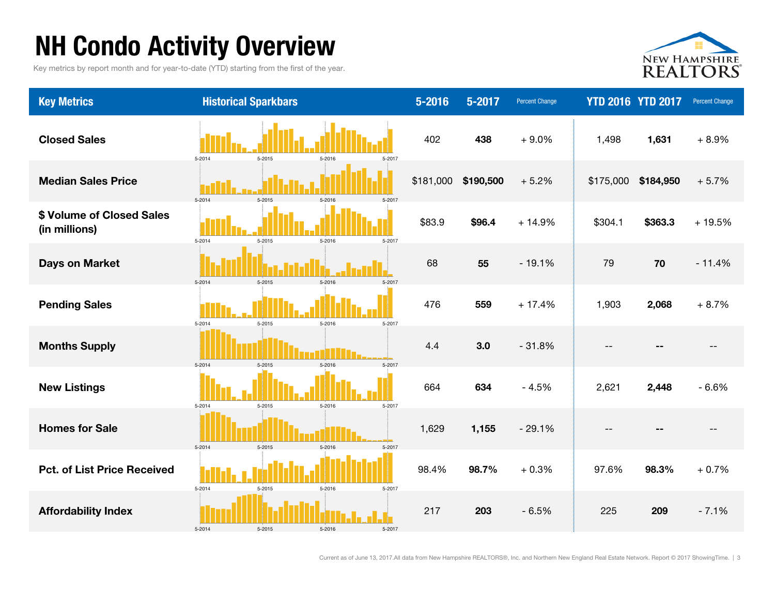### NH Condo Activity Overview

Key metrics by report month and for year-to-date (YTD) starting from the first of the year.



| <b>Key Metrics</b>                         | <b>Historical Sparkbars</b>                  | $5 - 2016$ | 5-2017    | <b>Percent Change</b> | <b>YTD 2016 YTD 2017</b> |           | <b>Percent Change</b> |
|--------------------------------------------|----------------------------------------------|------------|-----------|-----------------------|--------------------------|-----------|-----------------------|
| <b>Closed Sales</b>                        | $5 - 2014$<br>5-2015<br>5-2016<br>5-2017     | 402        | 438       | $+9.0%$               | 1,498                    | 1,631     | $+8.9%$               |
| <b>Median Sales Price</b>                  | $5 - 2014$<br>5-2015<br>5-2016<br>5-2017     | \$181,000  | \$190,500 | $+5.2%$               | \$175,000                | \$184,950 | $+5.7%$               |
| \$ Volume of Closed Sales<br>(in millions) | 5-2014<br>5-2015<br>5-2016<br>5-2017         | \$83.9     | \$96.4    | $+14.9%$              | \$304.1                  | \$363.3   | $+19.5%$              |
| <b>Days on Market</b>                      | 5-2015<br>5-2014<br>5-2016<br>5-2017         | 68         | 55        | $-19.1%$              | 79                       | 70        | $-11.4%$              |
| <b>Pending Sales</b>                       | $5 - 2014$<br>5-2015<br>5-2016<br>5-2017     | 476        | 559       | $+17.4%$              | 1,903                    | 2,068     | $+8.7%$               |
| <b>Months Supply</b>                       | 5-2014<br>$5 - 2015$<br>5-2016<br>5-2017     | 4.4        | 3.0       | $-31.8%$              | --                       | --        |                       |
| <b>New Listings</b>                        | 5-2015<br>5-2016<br>5-2014<br>5-2017         | 664        | 634       | $-4.5%$               | 2,621                    | 2,448     | $-6.6%$               |
| <b>Homes for Sale</b>                      | 5-2014<br>$5 - 2015$<br>$5 - 2016$<br>5-2017 | 1,629      | 1,155     | $-29.1%$              | --                       | --        |                       |
| <b>Pct. of List Price Received</b>         | $5 - 2014$<br>5-2015<br>5-2016<br>5-2017     | 98.4%      | 98.7%     | $+0.3%$               | 97.6%                    | 98.3%     | $+0.7%$               |
| <b>Affordability Index</b>                 | 5-2014<br>5-2015<br>5-2016<br>5-2017         | 217        | 203       | $-6.5%$               | 225                      | 209       | $-7.1%$               |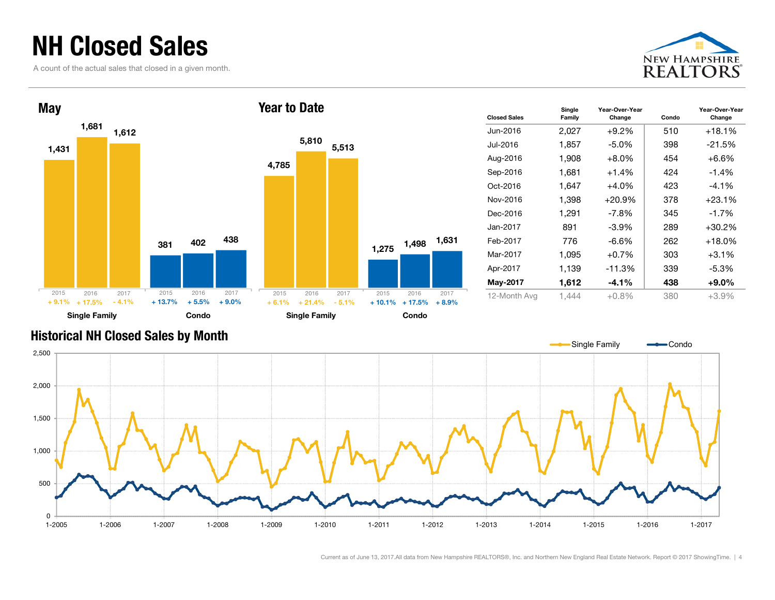### NH Closed Sales

A count of the actual sales that closed in a given month.





| <b>Closed Sales</b> | Single<br>Family | Year-Over-Year<br>Change | Condo | Year-Over-Year<br>Change |
|---------------------|------------------|--------------------------|-------|--------------------------|
| Jun-2016            | 2,027            | $+9.2\%$                 | 510   | +18.1%                   |
| Jul-2016.           | 1,857            | $-5.0\%$                 | 398   | $-21.5\%$                |
| Aug-2016            | 1,908            | $+8.0\%$                 | 454   | $+6.6%$                  |
| Sep-2016            | 1,681            | $+1.4%$                  | 424   | $-1.4%$                  |
| Oct-2016            | 1,647            | $+4.0\%$                 | 423   | $-4.1\%$                 |
| Nov-2016            | 1,398            | $+20.9%$                 | 378   | $+23.1%$                 |
| Dec-2016            | 1,291            | -7.8%                    | 345   | $-1.7\%$                 |
| Jan-2017            | 891              | $-3.9%$                  | 289   | +30.2%                   |
| Feb-2017            | 776              | $-6.6\%$                 | 262   | +18.0%                   |
| Mar-2017            | 1,095            | $+0.7%$                  | 303   | $+3.1\%$                 |
| Apr-2017            | 1,139            | $-11.3%$                 | 339   | $-5.3%$                  |
| May-2017            | 1,612            | $-4.1\%$                 | 438   | $+9.0\%$                 |
| 12-Month Avg        | 1,444            | $+0.8\%$                 | 380   | $+3.9%$                  |

#### Historical NH Closed Sales by Month

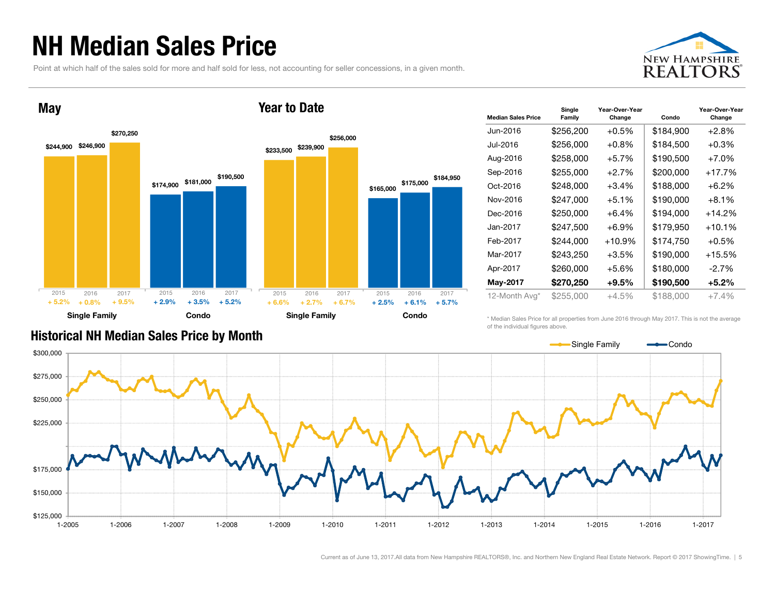### NH Median Sales Price

Point at which half of the sales sold for more and half sold for less, not accounting for seller concessions, in a given month.





| <b>Median Sales Price</b> | Single<br>Family | Year-Over-Year<br>Change | Condo     | Year-Over-Year<br>Change |
|---------------------------|------------------|--------------------------|-----------|--------------------------|
| Jun-2016                  | \$256,200        | $+0.5%$                  | \$184,900 | $+2.8%$                  |
| Jul-2016.                 | \$256,000        | $+0.8\%$                 | \$184,500 | $+0.3%$                  |
| Aug-2016                  | \$258,000        | +5.7%                    | \$190,500 | $+7.0%$                  |
| Sep-2016                  | \$255,000        | $+2.7%$                  | \$200,000 | $+17.7%$                 |
| Oct-2016                  | \$248,000        | +3.4%                    | \$188,000 | $+6.2\%$                 |
| Nov-2016                  | \$247,000        | $+5.1%$                  | \$190,000 | $+8.1%$                  |
| Dec-2016                  | \$250,000        | $+6.4%$                  | \$194,000 | $+14.2%$                 |
| Jan-2017.                 | \$247,500        | $+6.9\%$                 | \$179,950 | $+10.1%$                 |
| Feb-2017                  | \$244,000        | $+10.9%$                 | \$174,750 | $+0.5%$                  |
| Mar-2017                  | \$243,250        | +3.5%                    | \$190,000 | $+15.5%$                 |
| Apr-2017                  | \$260,000        | $+5.6%$                  | \$180,000 | $-2.7%$                  |
| May-2017                  | \$270,250        | +9.5%                    | \$190,500 | $+5.2\%$                 |
| 12-Month Avg*             | \$255,000        | $+4.5%$                  | \$188,000 | $+7.4%$                  |

Historical NH Median Sales Price by Month

\* Median Sales Price for all properties from June 2016 through May 2017. This is not the average of the individual figures above.

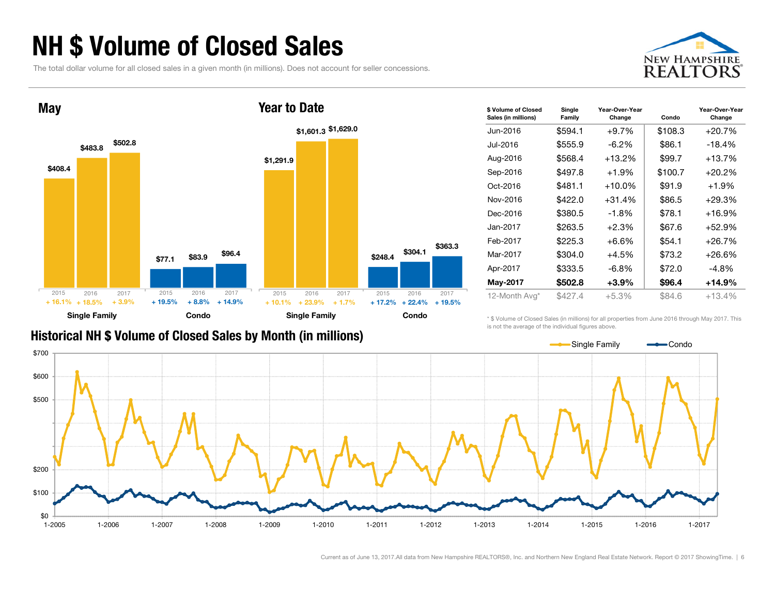### NH \$ Volume of Closed Sales

The total dollar volume for all closed sales in a given month (in millions). Does not account for seller concessions.





#### Historical NH \$ Volume of Closed Sales by Month (in millions)

| \$ Volume of Closed<br>Sales (in millions) | Single<br>Family | Year-Over-Year<br>Change | Condo   | Year-Over-Year<br>Change |
|--------------------------------------------|------------------|--------------------------|---------|--------------------------|
| Jun-2016                                   | \$594.1          | $+9.7%$                  | \$108.3 | $+20.7%$                 |
| Jul-2016                                   | \$555.9          | $-6.2\%$                 | \$86.1  | $-18.4%$                 |
| Aug-2016                                   | \$568.4          | +13.2%                   | \$99.7  | $+13.7%$                 |
| Sep-2016                                   | \$497.8          | $+1.9%$                  | \$100.7 | $+20.2%$                 |
| Oct-2016                                   | \$481.1          | $+10.0\%$                | \$91.9  | $+1.9%$                  |
| Nov-2016                                   | \$422.0          | $+31.4%$                 | \$86.5  | $+29.3%$                 |
| Dec-2016                                   | \$380.5          | $-1.8%$                  | \$78.1  | $+16.9%$                 |
| Jan-2017                                   | \$263.5          | $+2.3%$                  | \$67.6  | $+52.9%$                 |
| Feb-2017                                   | \$225.3          | $+6.6%$                  | \$54.1  | $+26.7%$                 |
| Mar-2017                                   | \$304.0          | +4.5%                    | \$73.2  | $+26.6%$                 |
| Apr-2017                                   | \$333.5          | $-6.8\%$                 | \$72.0  | -4.8%                    |
| May-2017                                   | \$502.8          | $+3.9%$                  | \$96.4  | $+14.9%$                 |
| 12-Month Avg*                              | \$427.4          | $+5.3%$                  | \$84.6  | $+13.4%$                 |

\* \$ Volume of Closed Sales (in millions) for all properties from June 2016 through May 2017. This is not the average of the individual figures above.

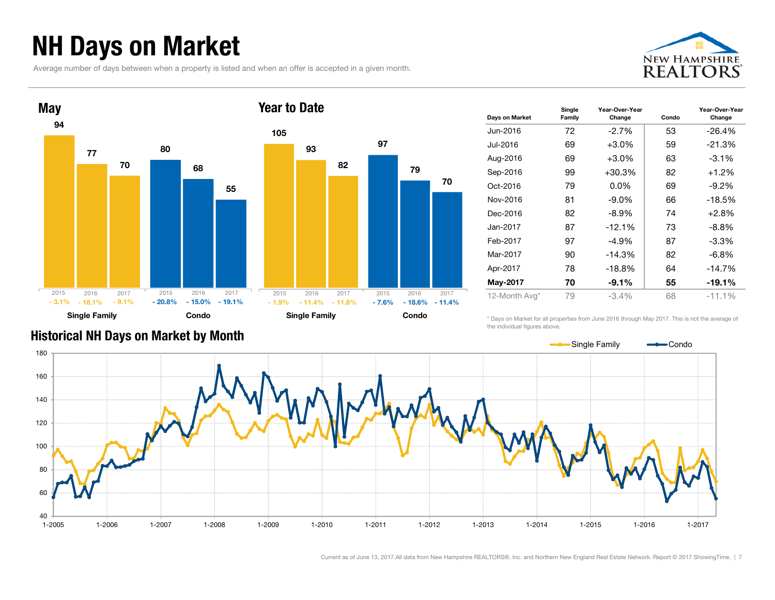### NH Days on Market

Average number of days between when a property is listed and when an offer is accepted in a given month.





| Days on Market | Single<br>Family | Year-Over-Year<br>Change | Condo | Year-Over-Year<br>Change |
|----------------|------------------|--------------------------|-------|--------------------------|
| Jun-2016       | 72               | $-2.7%$                  | 53    | $-26.4%$                 |
| Jul-2016       | 69               | $+3.0\%$                 | 59    | $-21.3%$                 |
| Aug-2016       | 69               | $+3.0\%$                 | 63    | $-3.1\%$                 |
| Sep-2016       | 99               | $+30.3%$                 | 82    | $+1.2%$                  |
| Oct-2016       | 79               | $0.0\%$                  | 69    | $-9.2\%$                 |
| Nov-2016       | 81               | $-9.0\%$                 | 66    | $-18.5%$                 |
| Dec-2016       | 82               | $-8.9\%$                 | 74    | $+2.8%$                  |
| Jan-2017.      | 87               | $-12.1%$                 | 73    | $-8.8\%$                 |
| Feb-2017       | 97               | -4.9%                    | 87    | -3.3%                    |
| Mar-2017       | 90               | $-14.3%$                 | 82    | $-6.8\%$                 |
| Apr-2017       | 78               | $-18.8%$                 | 64    | $-14.7%$                 |
| May-2017       | 70               | $-9.1%$                  | 55    | $-19.1%$                 |
| 12-Month Avg*  | 79               | $-3.4%$                  | 68    | $-11.1%$                 |

\* Days on Market for all properties from June 2016 through May 2017. This is not the average of the individual figures above.



97

79

 $-18.6\% - 11.4\%$ 

70

#### Historical NH Days on Market by Month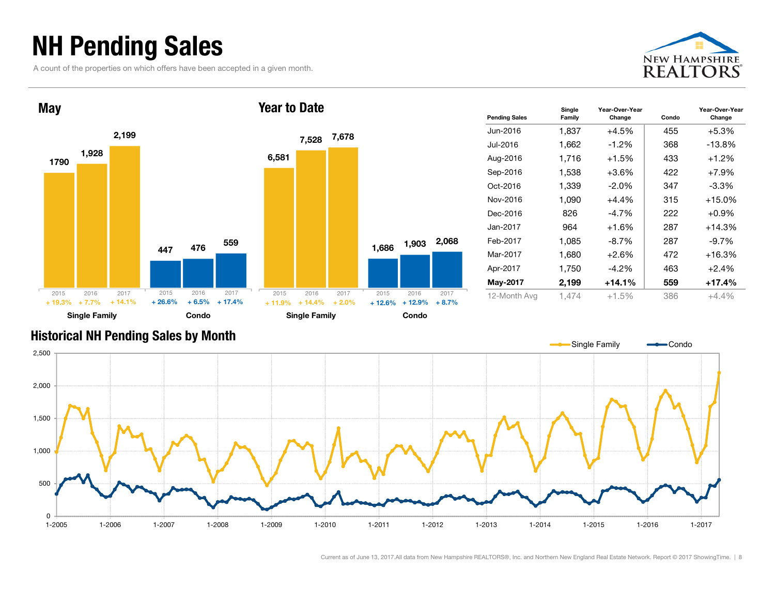### NH Pending Sales

A count of the properties on which offers have been accepted in a given month.





| <b>Pending Sales</b> | Single<br>Family | Year-Over-Year<br>Change | Condo | Year-Over-Year<br>Change |
|----------------------|------------------|--------------------------|-------|--------------------------|
| Jun-2016             | 1,837            | $+4.5%$                  | 455   | $+5.3\%$                 |
| Jul-2016             | 1,662            | $-1.2\%$                 | 368   | $-13.8%$                 |
| Aug-2016             | 1.716            | $+1.5%$                  | 433   | $+1.2%$                  |
| Sep-2016             | 1,538            | $+3.6%$                  | 422   | $+7.9%$                  |
| Oct-2016             | 1,339            | $-2.0\%$                 | 347   | -3.3%                    |
| Nov-2016             | 1,090            | $+4.4%$                  | 315   | $+15.0%$                 |
| Dec-2016             | 826              | -4.7%                    | 222   | $+0.9\%$                 |
| Jan-2017             | 964              | $+1.6%$                  | 287   | $+14.3%$                 |
| Feb-2017             | 1,085            | $-8.7\%$                 | 287   | $-9.7\%$                 |
| Mar-2017             | 1,680            | $+2.6%$                  | 472   | $+16.3%$                 |
| Apr-2017             | 1,750            | $-4.2\%$                 | 463   | $+2.4%$                  |
| May-2017             | 2,199            | $+14.1%$                 | 559   | +17.4%                   |
| 12-Month Avg         | 1,474            | $+1.5%$                  | 386   | $+4.4%$                  |

#### Historical NH Pending Sales by Month

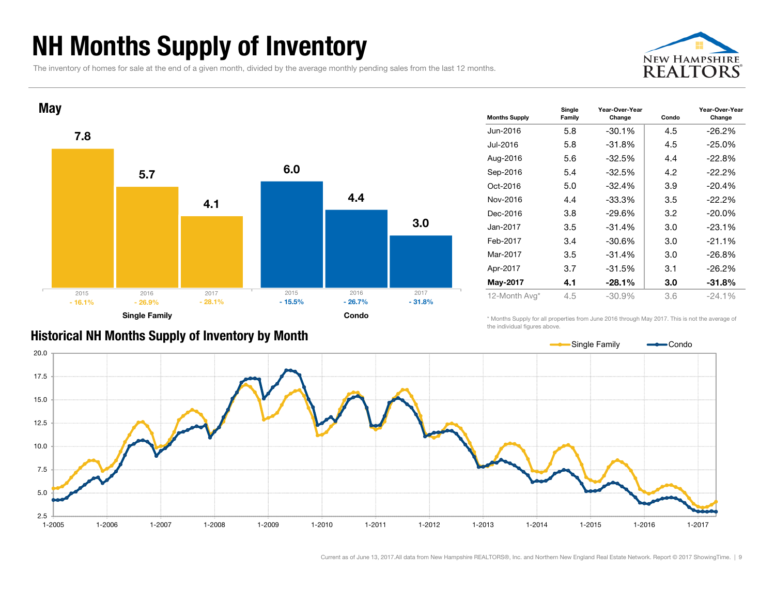### NH Months Supply of Inventory

The inventory of homes for sale at the end of a given month, divided by the average monthly pending sales from the last 12 months.





| <b>Months Supply</b> | Single<br>Family | Year-Over-Year<br>Change | Condo | Year-Over-Year<br>Change |
|----------------------|------------------|--------------------------|-------|--------------------------|
| Jun-2016             | 5.8              | $-30.1%$                 | 4.5   | $-26.2\%$                |
| Jul-2016             | 5.8              | $-31.8%$                 | 4.5   | $-25.0%$                 |
| Aug-2016             | 5.6              | $-32.5%$                 | 4.4   | $-22.8%$                 |
| Sep-2016             | 5.4              | $-32.5%$                 | 4.2   | $-22.2\%$                |
| Oct-2016             | 5.0              | $-32.4%$                 | 3.9   | $-20.4%$                 |
| Nov-2016             | 4.4              | $-33.3%$                 | 3.5   | $-22.2\%$                |
| Dec-2016             | 3.8              | $-29.6%$                 | 3.2   | $-20.0\%$                |
| Jan-2017             | 3.5              | $-31.4%$                 | 3.0   | $-23.1%$                 |
| Feb-2017             | 3.4              | $-30.6%$                 | 3.0   | $-21.1%$                 |
| Mar-2017             | 3.5              | $-31.4%$                 | 3.0   | $-26.8%$                 |
| Apr-2017             | 3.7              | $-31.5%$                 | 3.1   | $-26.2%$                 |
| May-2017             | 4.1              | $-28.1%$                 | 3.0   | $-31.8\%$                |
| 12-Month Avg*        | 4.5              | $-30.9%$                 | 3.6   | $-24.1%$                 |

Historical NH Months Supply of Inventory by Month

\* Months Supply for all properties from June 2016 through May 2017. This is not the average of the individual figures above.

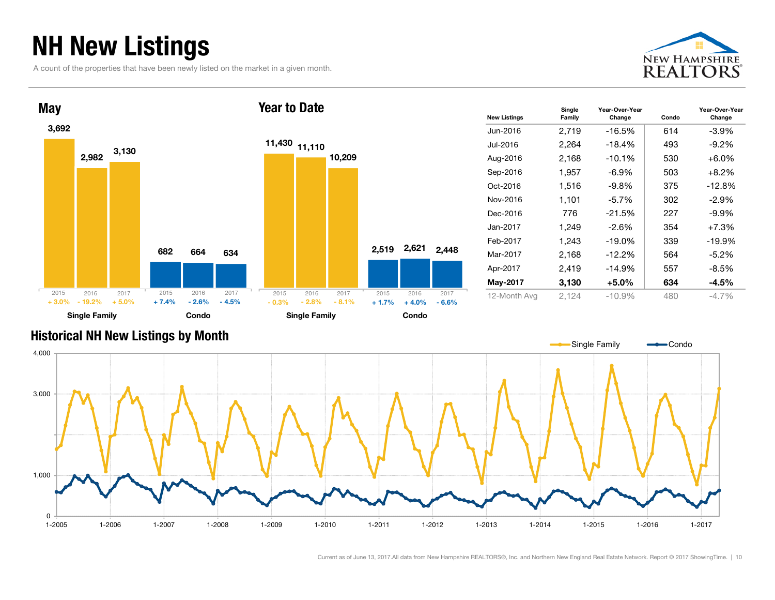### NH New Listings

A count of the properties that have been newly listed on the market in a given month.





| <b>New Listings</b> | Single<br>Family | Year-Over-Year<br>Change | Condo | Year-Over-Year<br>Change |
|---------------------|------------------|--------------------------|-------|--------------------------|
| Jun-2016            | 2,719            | $-16.5\%$                | 614   | -3.9%                    |
| Jul-2016            | 2,264            | $-18.4%$                 | 493   | $-9.2\%$                 |
| Aug-2016            | 2,168            | $-10.1%$                 | 530   | $+6.0\%$                 |
| Sep-2016            | 1,957            | $-6.9\%$                 | 503   | $+8.2%$                  |
| Oct-2016            | 1,516            | -9.8%                    | 375   | $-12.8%$                 |
| Nov-2016            | 1,101            | $-5.7\%$                 | 302   | $-2.9\%$                 |
| Dec-2016            | 776              | $-21.5%$                 | 227   | -9.9%                    |
| Jan-2017            | 1,249            | $-2.6\%$                 | 354   | $+7.3%$                  |
| Feb-2017            | 1,243            | $-19.0%$                 | 339   | $-19.9%$                 |
| Mar-2017            | 2,168            | $-12.2%$                 | 564   | $-5.2\%$                 |
| Apr-2017            | 2,419            | $-14.9%$                 | 557   | $-8.5%$                  |
| May-2017            | 3,130            | $+5.0\%$                 | 634   | $-4.5%$                  |
| 12-Month Avg        | 2,124            | $-10.9%$                 | 480   | $-4.7\%$                 |

#### Historical NH New Listings by Month

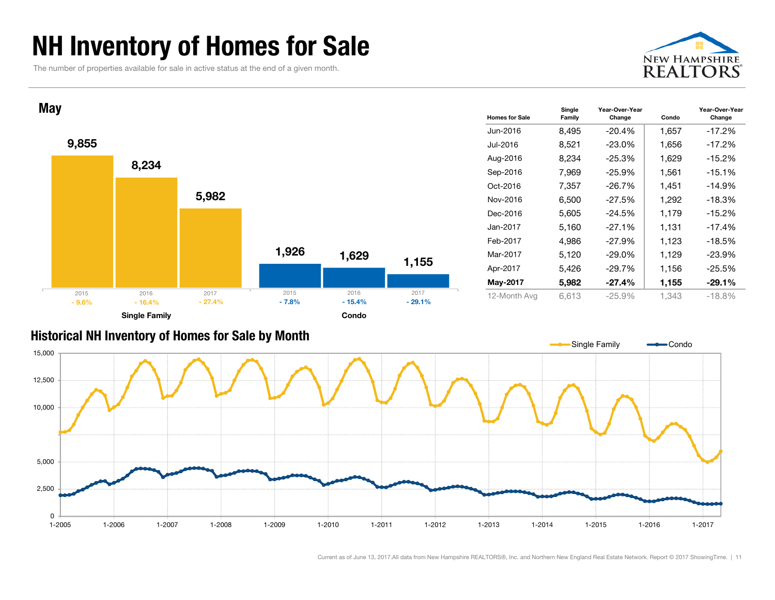### NH Inventory of Homes for Sale

The number of properties available for sale in active status at the end of a given month.





#### Historical NH Inventory of Homes for S ale by Mont h

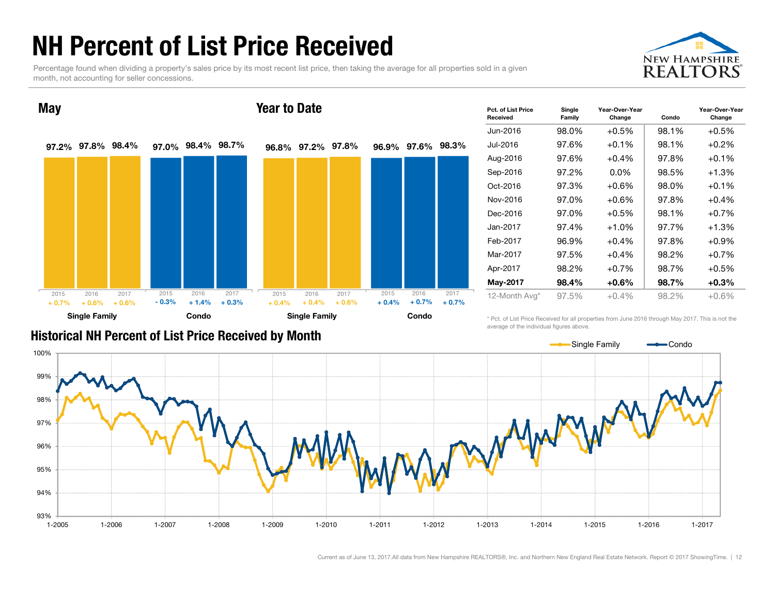### NH Percent of List Price Received

Percentage found when dividing a property's sales price by its most recent list price, then taking the average for all properties sold in a given month, not accounting for seller concessions.





| Pct. of List Price<br>Received | Single<br>Family | Year-Over-Year<br>Change | Condo | Year-Over-Year<br>Change |
|--------------------------------|------------------|--------------------------|-------|--------------------------|
| Jun-2016                       | 98.0%            | $+0.5%$                  | 98.1% | $+0.5%$                  |
| Jul-2016                       | 97.6%            | $+0.1%$                  | 98.1% | $+0.2\%$                 |
| Aug-2016                       | 97.6%            | $+0.4%$                  | 97.8% | $+0.1%$                  |
| Sep-2016                       | 97.2%            | $0.0\%$                  | 98.5% | $+1.3%$                  |
| Oct-2016                       | 97.3%            | $+0.6%$                  | 98.0% | $+0.1%$                  |
| Nov-2016                       | 97.0%            | $+0.6%$                  | 97.8% | $+0.4%$                  |
| Dec-2016                       | 97.0%            | $+0.5%$                  | 98.1% | $+0.7%$                  |
| Jan-2017                       | 97.4%            | $+1.0%$                  | 97.7% | $+1.3%$                  |
| Feb-2017                       | 96.9%            | $+0.4%$                  | 97.8% | $+0.9%$                  |
| Mar-2017                       | 97.5%            | $+0.4%$                  | 98.2% | $+0.7%$                  |
| Apr-2017                       | 98.2%            | $+0.7%$                  | 98.7% | $+0.5%$                  |
| May-2017                       | 98.4%            | +0.6%                    | 98.7% | $+0.3%$                  |
| 12-Month Avg*                  | 97.5%            | $+0.4%$                  | 98.2% | $+0.6%$                  |

Historical NH Percent of List Price Receive d by Mont h

\* Pct. of List Price Received for all properties from June 2016 through May 2017. This is not the average of the individual figures above.

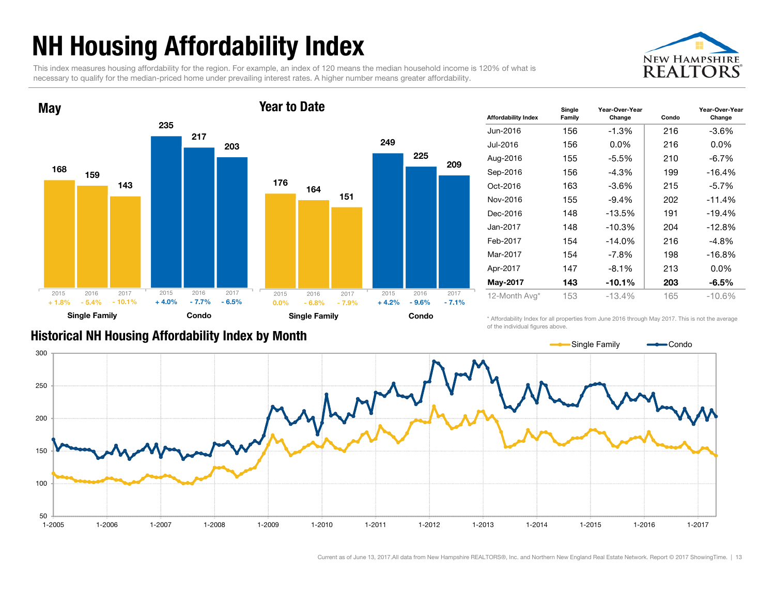## NH Housing Affordability Index

This index measures housing affordability for the region. For example, an index of 120 means the median household income is 120% of what is necessary to qualify for the median-priced home under prevailing interest rates. A higher number means greater affordability.





| <b>Affordability Index</b> | Single<br>Family | Year-Over-Year<br>Change | Condo | Year-Over-Year<br>Change |
|----------------------------|------------------|--------------------------|-------|--------------------------|
| Jun-2016                   | 156              | $-1.3%$                  | 216   | -3.6%                    |
| Jul-2016                   | 156              | $0.0\%$                  | 216   | $0.0\%$                  |
| Aug-2016                   | 155              | -5.5%                    | 210   | $-6.7\%$                 |
| Sep-2016                   | 156              | -4.3%                    | 199   | $-16.4%$                 |
| Oct-2016                   | 163              | $-3.6%$                  | 215   | $-5.7\%$                 |
| Nov-2016                   | 155              | $-9.4%$                  | 202   | $-11.4%$                 |
| Dec-2016                   | 148              | $-13.5%$                 | 191   | $-19.4%$                 |
| Jan-2017                   | 148              | $-10.3%$                 | 204   | $-12.8%$                 |
| Feb-2017                   | 154              | $-14.0%$                 | 216   | $-4.8%$                  |
| Mar-2017                   | 154              | $-7.8\%$                 | 198   | $-16.8%$                 |
| Apr-2017                   | 147              | $-8.1\%$                 | 213   | $0.0\%$                  |
| May-2017                   | 143              | $-10.1%$                 | 203   | -6.5%                    |
| 12-Month Avg*              | 153              | $-13.4%$                 | 165   | -10.6%                   |

#### Historical NH Housing Affordability Index by Month

\* Affordability Index for all properties from June 2016 through May 2017. This is not the average of the individual figures above.

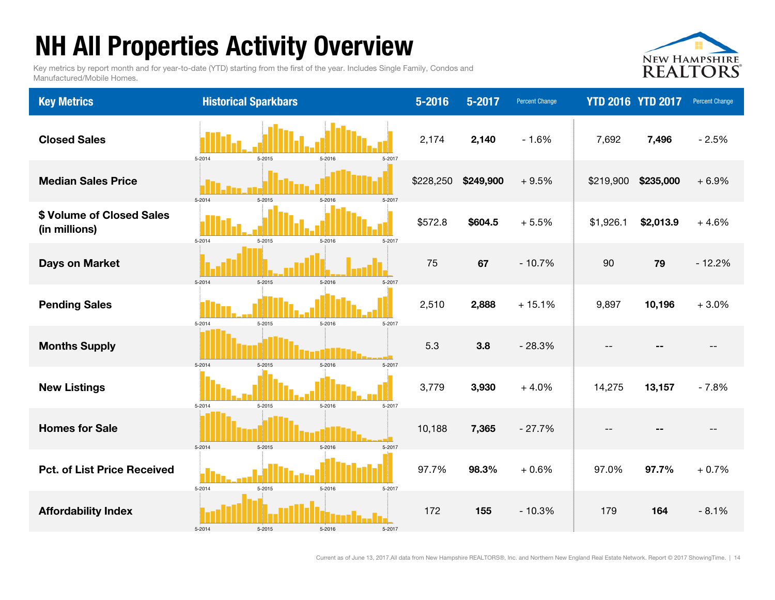### NH All Properties Activity Overview

Key metrics by report month and for year-to-date (YTD) starting from the first of the year. Includes Single Family, Condos and Manufactured/Mobile Homes.



| <b>Key Metrics</b>                         | <b>Historical Sparkbars</b>              | $5 - 2016$ | 5-2017    | <b>Percent Change</b> | <b>YTD 2016 YTD 2017</b> |           | <b>Percent Change</b> |
|--------------------------------------------|------------------------------------------|------------|-----------|-----------------------|--------------------------|-----------|-----------------------|
| <b>Closed Sales</b>                        | 5-2014<br>5-2015<br>5-2017<br>5-2016     | 2,174      | 2,140     | $-1.6%$               | 7,692                    | 7,496     | $-2.5%$               |
| <b>Median Sales Price</b>                  | $5 - 2014$<br>5-2017<br>5-2015<br>5-2016 | \$228,250  | \$249,900 | $+9.5%$               | \$219,900                | \$235,000 | $+6.9%$               |
| \$ Volume of Closed Sales<br>(in millions) | 5-2017<br>5-2014<br>5-2015<br>5-2016     | \$572.8    | \$604.5   | $+5.5%$               | \$1,926.1                | \$2,013.9 | $+4.6%$               |
| <b>Days on Market</b>                      | 5-2014<br>5-2015<br>5-2016<br>5-2017     | 75         | 67        | $-10.7%$              | 90                       | 79        | $-12.2%$              |
| <b>Pending Sales</b>                       | 5-2015<br>5-2016<br>5-2014<br>5-2017     | 2,510      | 2,888     | $+15.1%$              | 9,897                    | 10,196    | $+3.0%$               |
| <b>Months Supply</b>                       | 5-2014<br>5-2015<br>5-2016<br>5-2017     | 5.3        | 3.8       | $-28.3%$              | $-$                      |           | $-$                   |
| <b>New Listings</b>                        | 5-2014<br>5-2015<br>5-2016<br>5-2017     | 3,779      | 3,930     | $+4.0%$               | 14,275                   | 13,157    | $-7.8%$               |
| <b>Homes for Sale</b>                      | 5-2014<br>5-2015<br>5-2016<br>5-2017     | 10,188     | 7,365     | $-27.7%$              | $- -$                    | $ -$      | $-$                   |
| <b>Pct. of List Price Received</b>         | 5-2014<br>5-2015<br>5-2016<br>5-2017     | 97.7%      | 98.3%     | $+0.6%$               | 97.0%                    | 97.7%     | $+0.7%$               |
| <b>Affordability Index</b>                 | 5-2014<br>5-2015<br>5-2016<br>5-2017     | 172        | 155       | $-10.3%$              | 179                      | 164       | $-8.1%$               |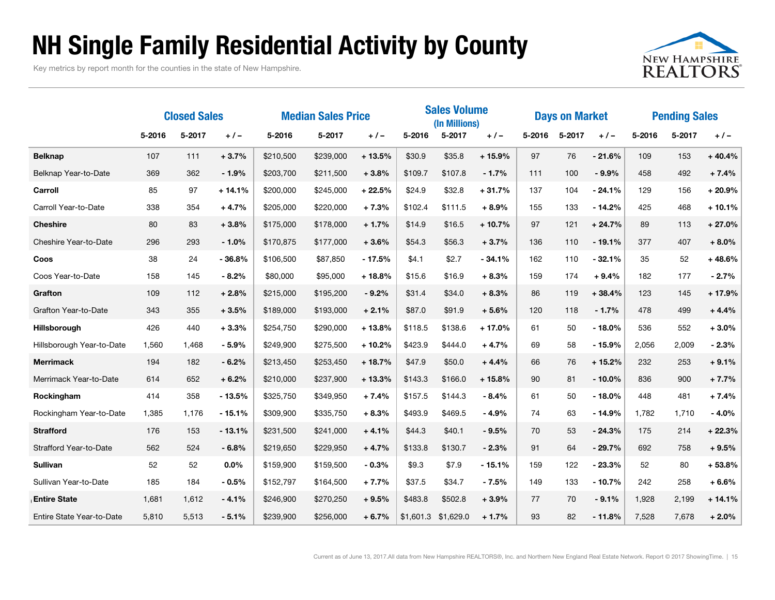### NH Single Family Residential Activity by County

Key metrics by report month for the counties in the state of New Hampshire.



|                           | <b>Closed Sales</b> |        | <b>Median Sales Price</b> |           |           | <b>Sales Volume</b><br>(In Millions) |           |           | <b>Days on Market</b> |        |        | <b>Pending Sales</b> |        |        |          |
|---------------------------|---------------------|--------|---------------------------|-----------|-----------|--------------------------------------|-----------|-----------|-----------------------|--------|--------|----------------------|--------|--------|----------|
|                           | 5-2016              | 5-2017 | $+/-$                     | 5-2016    | 5-2017    | $+/-$                                | 5-2016    | 5-2017    | $+/-$                 | 5-2016 | 5-2017 | $+/-$                | 5-2016 | 5-2017 | $+/-$    |
| <b>Belknap</b>            | 107                 | 111    | $+3.7%$                   | \$210,500 | \$239,000 | $+13.5%$                             | \$30.9    | \$35.8    | $+15.9%$              | 97     | 76     | $-21.6%$             | 109    | 153    | $+40.4%$ |
| Belknap Year-to-Date      | 369                 | 362    | $-1.9%$                   | \$203,700 | \$211,500 | $+3.8%$                              | \$109.7   | \$107.8   | $-1.7%$               | 111    | 100    | $-9.9%$              | 458    | 492    | $+7.4%$  |
| Carroll                   | 85                  | 97     | $+14.1%$                  | \$200,000 | \$245,000 | $+22.5%$                             | \$24.9    | \$32.8    | $+31.7%$              | 137    | 104    | $-24.1%$             | 129    | 156    | $+20.9%$ |
| Carroll Year-to-Date      | 338                 | 354    | $+4.7%$                   | \$205,000 | \$220,000 | $+7.3%$                              | \$102.4   | \$111.5   | $+8.9%$               | 155    | 133    | $-14.2%$             | 425    | 468    | $+10.1%$ |
| <b>Cheshire</b>           | 80                  | 83     | $+3.8%$                   | \$175,000 | \$178,000 | $+1.7%$                              | \$14.9    | \$16.5    | $+10.7%$              | 97     | 121    | $+24.7%$             | 89     | 113    | $+27.0%$ |
| Cheshire Year-to-Date     | 296                 | 293    | $-1.0%$                   | \$170,875 | \$177,000 | $+3.6%$                              | \$54.3    | \$56.3    | $+3.7%$               | 136    | 110    | $-19.1%$             | 377    | 407    | $+8.0%$  |
| Coos                      | 38                  | 24     | $-36.8%$                  | \$106,500 | \$87,850  | $-17.5%$                             | \$4.1     | \$2.7     | $-34.1%$              | 162    | 110    | $-32.1%$             | 35     | 52     | $+48.6%$ |
| Coos Year-to-Date         | 158                 | 145    | $-8.2%$                   | \$80,000  | \$95,000  | $+18.8%$                             | \$15.6    | \$16.9    | $+8.3%$               | 159    | 174    | $+9.4%$              | 182    | 177    | $-2.7%$  |
| Grafton                   | 109                 | 112    | $+2.8%$                   | \$215,000 | \$195,200 | $-9.2%$                              | \$31.4    | \$34.0    | $+8.3%$               | 86     | 119    | $+38.4%$             | 123    | 145    | $+17.9%$ |
| Grafton Year-to-Date      | 343                 | 355    | $+3.5%$                   | \$189,000 | \$193,000 | $+2.1%$                              | \$87.0    | \$91.9    | $+5.6%$               | 120    | 118    | $-1.7%$              | 478    | 499    | $+4.4%$  |
| Hillsborough              | 426                 | 440    | $+3.3%$                   | \$254,750 | \$290,000 | $+13.8%$                             | \$118.5   | \$138.6   | $+17.0%$              | 61     | 50     | $-18.0%$             | 536    | 552    | $+3.0%$  |
| Hillsborough Year-to-Date | 1,560               | 1.468  | $-5.9%$                   | \$249,900 | \$275,500 | $+10.2%$                             | \$423.9   | \$444.0   | $+4.7%$               | 69     | 58     | $-15.9%$             | 2,056  | 2.009  | $-2.3%$  |
| <b>Merrimack</b>          | 194                 | 182    | $-6.2%$                   | \$213,450 | \$253,450 | $+18.7%$                             | \$47.9    | \$50.0    | $+4.4%$               | 66     | 76     | $+15.2%$             | 232    | 253    | $+9.1%$  |
| Merrimack Year-to-Date    | 614                 | 652    | $+6.2%$                   | \$210,000 | \$237,900 | $+13.3%$                             | \$143.3   | \$166.0   | $+15.8%$              | 90     | 81     | $-10.0%$             | 836    | 900    | $+7.7%$  |
| Rockingham                | 414                 | 358    | $-13.5%$                  | \$325,750 | \$349,950 | $+7.4%$                              | \$157.5   | \$144.3   | $-8.4%$               | 61     | 50     | $-18.0%$             | 448    | 481    | $+7.4%$  |
| Rockingham Year-to-Date   | 1,385               | 1,176  | $-15.1%$                  | \$309,900 | \$335,750 | $+8.3%$                              | \$493.9   | \$469.5   | $-4.9%$               | 74     | 63     | $-14.9%$             | 1,782  | 1,710  | $-4.0%$  |
| <b>Strafford</b>          | 176                 | 153    | $-13.1%$                  | \$231,500 | \$241,000 | $+4.1%$                              | \$44.3    | \$40.1    | $-9.5%$               | 70     | 53     | $-24.3%$             | 175    | 214    | $+22.3%$ |
| Strafford Year-to-Date    | 562                 | 524    | $-6.8%$                   | \$219,650 | \$229,950 | $+4.7%$                              | \$133.8   | \$130.7   | $-2.3%$               | 91     | 64     | $-29.7%$             | 692    | 758    | $+9.5%$  |
| <b>Sullivan</b>           | 52                  | 52     | 0.0%                      | \$159,900 | \$159,500 | $-0.3%$                              | \$9.3     | \$7.9     | $-15.1%$              | 159    | 122    | $-23.3%$             | 52     | 80     | $+53.8%$ |
| Sullivan Year-to-Date     | 185                 | 184    | $-0.5%$                   | \$152,797 | \$164,500 | $+7.7%$                              | \$37.5    | \$34.7    | $-7.5%$               | 149    | 133    | $-10.7%$             | 242    | 258    | $+6.6%$  |
| <b>Entire State</b>       | 1,681               | 1,612  | $-4.1%$                   | \$246,900 | \$270,250 | $+9.5%$                              | \$483.8   | \$502.8   | $+3.9%$               | 77     | 70     | $-9.1%$              | 1,928  | 2.199  | $+14.1%$ |
| Entire State Year-to-Date | 5,810               | 5,513  | $-5.1%$                   | \$239,900 | \$256,000 | $+6.7%$                              | \$1,601.3 | \$1,629.0 | $+1.7%$               | 93     | 82     | $-11.8%$             | 7,528  | 7,678  | $+2.0%$  |